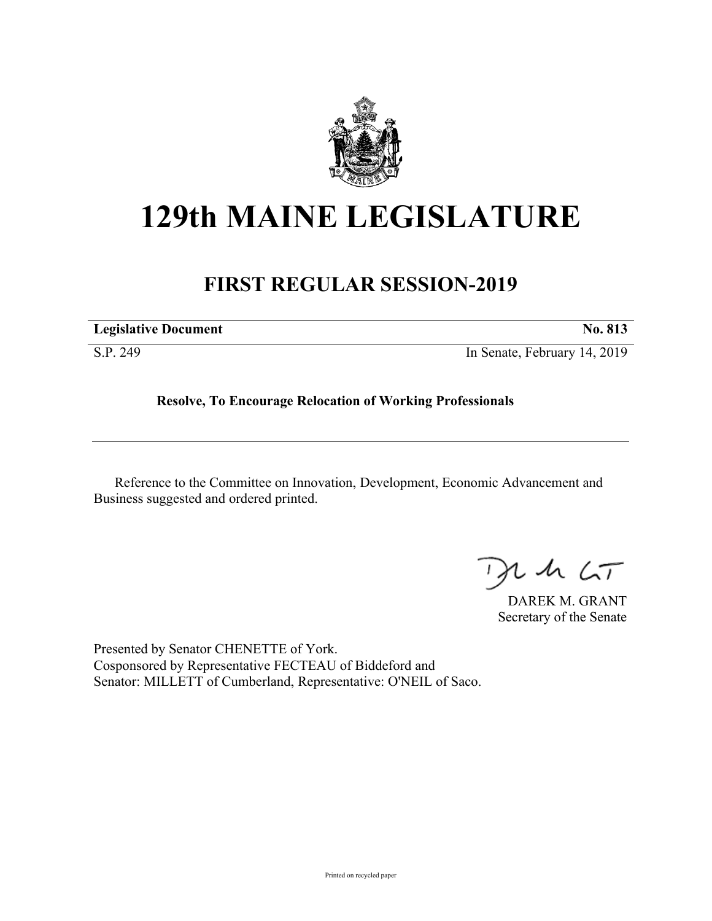

## **129th MAINE LEGISLATURE**

## **FIRST REGULAR SESSION-2019**

| <b>Legislative Document</b> | <b>No. 813</b>               |
|-----------------------------|------------------------------|
| S.P. 249                    | In Senate, February 14, 2019 |

**Resolve, To Encourage Relocation of Working Professionals**

Reference to the Committee on Innovation, Development, Economic Advancement and Business suggested and ordered printed.

 $125$ 

DAREK M. GRANT Secretary of the Senate

Presented by Senator CHENETTE of York. Cosponsored by Representative FECTEAU of Biddeford and Senator: MILLETT of Cumberland, Representative: O'NEIL of Saco.